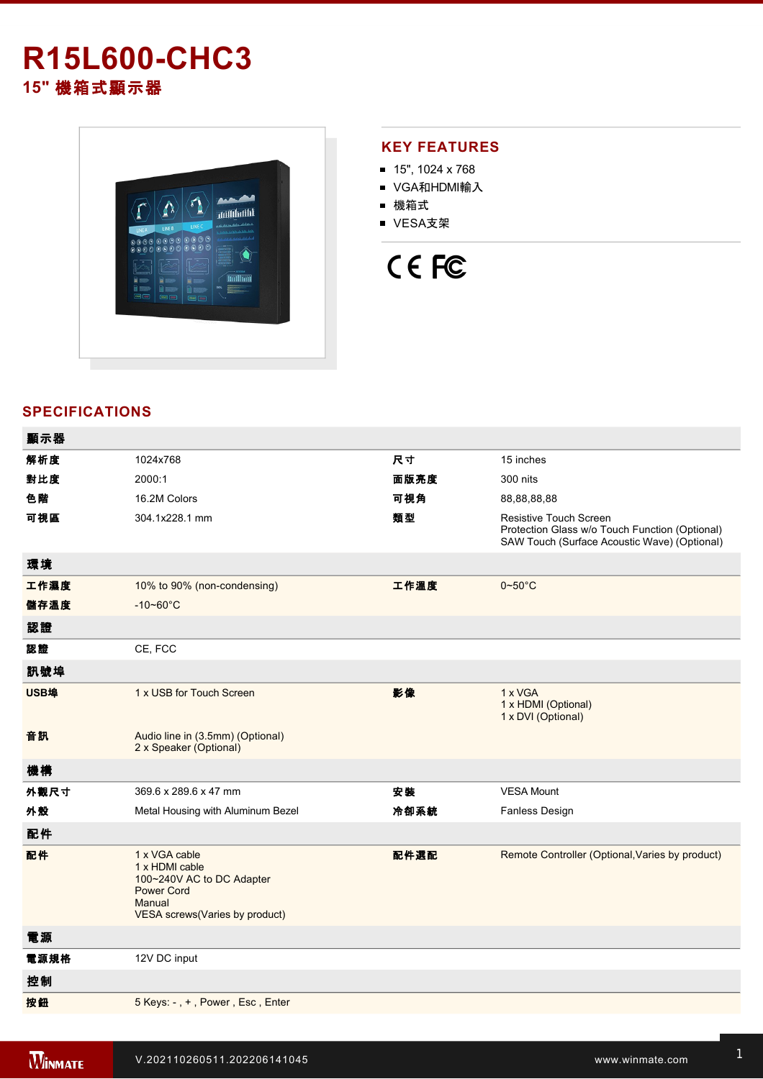# **R15L600-CHC3 15"** 機箱式顯示器



## **KEY FEATURES**

- 15", 1024 x 768
- VGA和HDMI輸入
- 機箱式
- VESA支架

# CE FC

## **SPECIFICATIONS**

| 顯示器  |                                                                                                                               |      |                                                                                                                                 |
|------|-------------------------------------------------------------------------------------------------------------------------------|------|---------------------------------------------------------------------------------------------------------------------------------|
| 解析度  | 1024x768                                                                                                                      | 尺寸   | 15 inches                                                                                                                       |
| 對比度  | 2000:1                                                                                                                        | 面版亮度 | 300 nits                                                                                                                        |
| 色階   | 16.2M Colors                                                                                                                  | 可視角  | 88,88,88,88                                                                                                                     |
| 可視區  | 304.1x228.1 mm                                                                                                                | 類型   | <b>Resistive Touch Screen</b><br>Protection Glass w/o Touch Function (Optional)<br>SAW Touch (Surface Acoustic Wave) (Optional) |
| 環境   |                                                                                                                               |      |                                                                                                                                 |
| 工作濕度 | 10% to 90% (non-condensing)                                                                                                   | 工作溫度 | $0 - 50$ °C                                                                                                                     |
| 儲存溫度 | $-10 - 60^{\circ}C$                                                                                                           |      |                                                                                                                                 |
| 認證   |                                                                                                                               |      |                                                                                                                                 |
| 認證   | CE, FCC                                                                                                                       |      |                                                                                                                                 |
| 訊號埠  |                                                                                                                               |      |                                                                                                                                 |
| USB埠 | 1 x USB for Touch Screen                                                                                                      | 影像   | 1 x VGA<br>1 x HDMI (Optional)<br>1 x DVI (Optional)                                                                            |
| 音訊   | Audio line in (3.5mm) (Optional)<br>2 x Speaker (Optional)                                                                    |      |                                                                                                                                 |
| 機構   |                                                                                                                               |      |                                                                                                                                 |
| 外觀尺寸 | 369.6 x 289.6 x 47 mm                                                                                                         | 安裝   | <b>VESA Mount</b>                                                                                                               |
| 外殼   | Metal Housing with Aluminum Bezel                                                                                             | 冷卻系統 | Fanless Design                                                                                                                  |
| 配件   |                                                                                                                               |      |                                                                                                                                 |
| 配件   | 1 x VGA cable<br>1 x HDMI cable<br>100~240V AC to DC Adapter<br><b>Power Cord</b><br>Manual<br>VESA screws(Varies by product) | 配件選配 | Remote Controller (Optional, Varies by product)                                                                                 |
| 電源   |                                                                                                                               |      |                                                                                                                                 |
| 電源規格 | 12V DC input                                                                                                                  |      |                                                                                                                                 |
| 控制   |                                                                                                                               |      |                                                                                                                                 |
| 按鈕   | 5 Keys: -, +, Power, Esc, Enter                                                                                               |      |                                                                                                                                 |